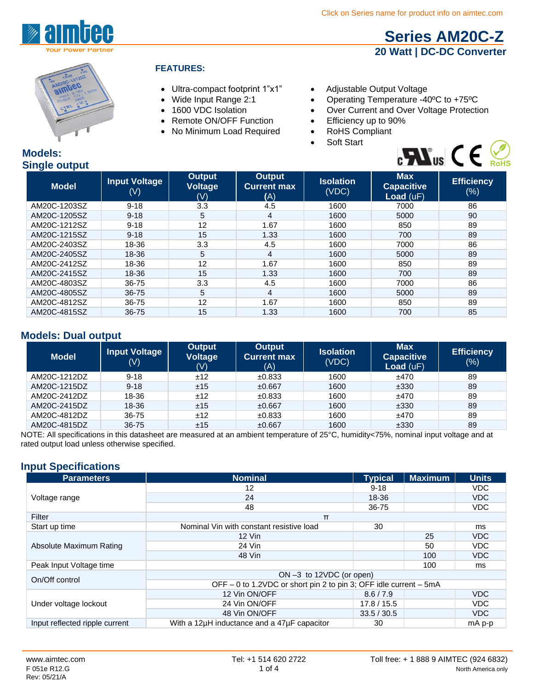



#### **FEATURES:**

- Ultra-compact footprint 1"x1" Adjustable Output Voltage
- 
- 
- Remote ON/OFF Function •
- No Minimum Load Required RoHS Compliant
- 
- Wide Input Range 2:1 Operating Temperature -40°C to +75°C<br>• 1600 VDC Isolation Over Current and Over Voltage Protection
- 1600 VDC Isolation Over Current and Over Voltage Protection<br>• Remote ON/OFF Function Efficiency up to 90%
	-
	-
	- Soft Start



 **[Series AM20C-Z](http://www.aimtec.com/am20c-z) 20 Watt | DC-DC Converter**

#### **Models: Single output**

| the contract of the con-<br><b>Model</b> | <b>Input Voltage</b><br>$(\vee)$ | <b>Output</b><br>Voltage<br>(V) | <b>Output</b><br><b>Current max</b><br>(A) | <b>Isolation</b><br>(VDC) | <b>Max</b><br><b>Capacitive</b><br><b>Load</b> $(uF)$ | <b>Efficiency</b><br>$(\%)$ |
|------------------------------------------|----------------------------------|---------------------------------|--------------------------------------------|---------------------------|-------------------------------------------------------|-----------------------------|
| AM20C-1203SZ                             | $9 - 18$                         | 3.3                             | 4.5                                        | 1600                      | 7000                                                  | 86                          |
| AM20C-1205SZ                             | $9 - 18$                         | 5                               | 4                                          | 1600                      | 5000                                                  | 90                          |
| AM20C-1212SZ                             | $9 - 18$                         | 12                              | 1.67                                       | 1600                      | 850                                                   | 89                          |
| AM20C-1215SZ                             | $9 - 18$                         | 15                              | 1.33                                       | 1600                      | 700                                                   | 89                          |
| AM20C-2403SZ                             | 18-36                            | 3.3                             | 4.5                                        | 1600                      | 7000                                                  | 86                          |
| AM20C-2405SZ                             | 18-36                            | 5                               | 4                                          | 1600                      | 5000                                                  | 89                          |
| AM20C-2412SZ                             | 18-36                            | 12                              | 1.67                                       | 1600                      | 850                                                   | 89                          |
| AM20C-2415SZ                             | 18-36                            | 15                              | 1.33                                       | 1600                      | 700                                                   | 89                          |
| AM20C-4803SZ                             | 36-75                            | 3.3                             | 4.5                                        | 1600                      | 7000                                                  | 86                          |
| AM20C-4805SZ                             | 36-75                            | 5                               | 4                                          | 1600                      | 5000                                                  | 89                          |
| AM20C-4812SZ                             | 36-75                            | 12                              | 1.67                                       | 1600                      | 850                                                   | 89                          |
| AM20C-4815SZ                             | 36-75                            | 15                              | 1.33                                       | 1600                      | 700                                                   | 85                          |

### **Models: Dual output**

| <b>Model</b> | <b>Input Voltage</b><br>$(\mathsf{V})$ | Output<br><b>Voltage</b><br>(V) | Output<br><b>Current max</b><br>(A) | <b>Isolation</b><br>(VDC) | <b>Max</b><br><b>Capacitive</b><br>Load $(uF)$ | <b>Efficiency</b><br>$(\%)$ |
|--------------|----------------------------------------|---------------------------------|-------------------------------------|---------------------------|------------------------------------------------|-----------------------------|
| AM20C-1212DZ | $9 - 18$                               | ±12                             | ±0.833                              | 1600                      | ±470                                           | 89                          |
| AM20C-1215DZ | $9 - 18$                               | ±15                             | ±0.667                              | 1600                      | ±330                                           | 89                          |
| AM20C-2412DZ | 18-36                                  | ±12                             | ±0.833                              | 1600                      | ±470                                           | 89                          |
| AM20C-2415DZ | 18-36                                  | ±15                             | ±0.667                              | 1600                      | ±330                                           | 89                          |
| AM20C-4812DZ | 36-75                                  | ±12                             | ±0.833                              | 1600                      | ±470                                           | 89                          |
| AM20C-4815DZ | $36 - 75$                              | ±15                             | ±0.667                              | 1600                      | ±330                                           | 89                          |

NOTE: All specifications in this datasheet are measured at an ambient temperature of 25°C, humidity<75%, nominal input voltage and at rated output load unless otherwise specified.

## **Input Specifications**

| <b>Parameters</b>              | <b>Nominal</b>                                                    | <b>Typical</b> | <b>Maximum</b> | <b>Units</b> |  |
|--------------------------------|-------------------------------------------------------------------|----------------|----------------|--------------|--|
| Voltage range                  | 12                                                                | $9 - 18$       |                | VDC.         |  |
|                                | 24                                                                | 18-36          |                | VDC          |  |
|                                | 48                                                                | 36-75          |                | VDC.         |  |
| Filter                         | $\pi$                                                             |                |                |              |  |
| Start up time                  | Nominal Vin with constant resistive load                          | 30             |                | ms           |  |
|                                | 12 Vin                                                            |                | 25             | <b>VDC</b>   |  |
| Absolute Maximum Rating        | 24 Vin                                                            |                | 50             | <b>VDC</b>   |  |
|                                | 48 Vin                                                            |                | 100            | VDC          |  |
| Peak Input Voltage time        |                                                                   |                | 100            | ms           |  |
| On/Off control                 | ON $-3$ to 12VDC (or open)                                        |                |                |              |  |
|                                | OFF – 0 to 1.2VDC or short pin 2 to pin 3; OFF idle current – 5mA |                |                |              |  |
| Under voltage lockout          | 12 Vin ON/OFF                                                     | 8.6 / 7.9      |                | VDC          |  |
|                                | 24 Vin ON/OFF                                                     | 17.8 / 15.5    |                | VDC.         |  |
|                                | 48 Vin ON/OFF                                                     | 33.5 / 30.5    |                | VDC          |  |
| Input reflected ripple current | With a 12uH inductance and a 47uF capacitor                       | 30             |                | mA p-p       |  |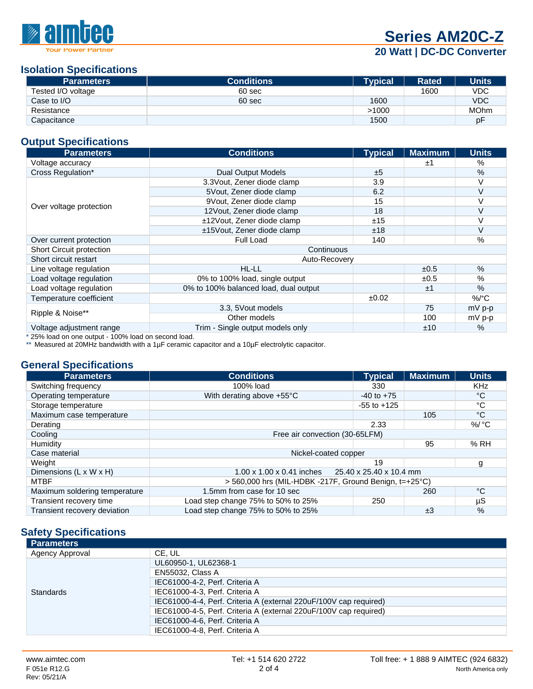

**[Series AM20C-Z](http://www.aimtec.com/am20c-z)**

## **20 Watt | DC-DC Converter**

#### **Isolation Specifications**

| <b>Parameters</b>  | <b>Conditions</b> | <b>Typical</b> | <b>Rated</b> | <b>Units</b> |
|--------------------|-------------------|----------------|--------------|--------------|
| Tested I/O voltage | 60 sec            |                | 1600         | <b>VDC</b>   |
| Case to I/O        | 60 sec            | 1600           |              | <b>VDC</b>   |
| Resistance         |                   | >1000          |              | <b>MOhm</b>  |
| Capacitance        |                   | 1500           |              | рF           |

## **Output Specifications**

| <b>Parameters</b>                             | <b>Conditions</b>                     | <b>Typical</b> | <b>Maximum</b> | <b>Units</b>    |  |
|-----------------------------------------------|---------------------------------------|----------------|----------------|-----------------|--|
| Voltage accuracy                              |                                       |                | ±1             | %               |  |
| Cross Regulation*                             | <b>Dual Output Models</b>             | ±5             |                | %               |  |
|                                               | 3.3 Vout, Zener diode clamp           | 3.9            |                | V               |  |
|                                               | 5 Vout, Zener diode clamp             | 6.2            |                | $\vee$          |  |
|                                               | 9Vout, Zener diode clamp              | 15             |                | $\vee$          |  |
| Over voltage protection                       | 12 Vout, Zener diode clamp            | 18             |                | $\vee$          |  |
|                                               | ±12Vout, Zener diode clamp            | ±15            |                | $\vee$          |  |
|                                               | ±15Vout, Zener diode clamp            | ±18            |                | $\vee$          |  |
| Over current protection                       | Full Load                             | 140            |                | $\%$            |  |
| <b>Short Circuit protection</b><br>Continuous |                                       |                |                |                 |  |
| Short circuit restart                         | Auto-Recovery                         |                |                |                 |  |
| Line voltage regulation                       | HL-LL                                 |                | ±0.5           | $\%$            |  |
| Load voltage regulation                       | 0% to 100% load, single output        |                | ±0.5           | $\%$            |  |
| Load voltage regulation                       | 0% to 100% balanced load, dual output |                | ±1             | %               |  |
| Temperature coefficient                       |                                       |                |                | %/ $^{\circ}$ C |  |
|                                               | 3.3, 5 Vout models                    |                | 75             | $mV$ p-p        |  |
| Ripple & Noise**                              | Other models                          |                | 100            | $mV$ p-p        |  |
| Voltage adjustment range                      | Trim - Single output models only      |                | ±10            | $\%$            |  |

\* 25% load on one output - 100% load on second load.

\*\* Measured at 20MHz bandwidth with a 1µF ceramic capacitor and a 10µF electrolytic capacitor.

#### **General Specifications**

| <b>Parameters</b>             | <b>Conditions</b>                                                   | <b>Typical</b>  | <b>Maximum</b> | <b>Units</b>       |  |
|-------------------------------|---------------------------------------------------------------------|-----------------|----------------|--------------------|--|
| Switching frequency           | 100% load                                                           | 330             |                | <b>KHz</b>         |  |
| Operating temperature         | With derating above +55°C                                           | $-40$ to $+75$  |                | °C                 |  |
| Storage temperature           |                                                                     | $-55$ to $+125$ |                | °C                 |  |
| Maximum case temperature      |                                                                     |                 | 105            | °C                 |  |
| Derating                      |                                                                     | 2.33            |                | $\%$ / $\degree$ C |  |
| Cooling                       | Free air convection (30-65LFM)                                      |                 |                |                    |  |
| Humidity                      |                                                                     |                 | 95             | %RH                |  |
| Case material                 | Nickel-coated copper                                                |                 |                |                    |  |
| Weight                        |                                                                     | 19              |                | g                  |  |
| Dimensions (L x W x H)        | 25.40 x 25.40 x 10.4 mm<br>$1.00 \times 1.00 \times 0.41$ inches    |                 |                |                    |  |
| <b>MTBF</b>                   | $>$ 560,000 hrs (MIL-HDBK -217F, Ground Benign, t=+25 $^{\circ}$ C) |                 |                |                    |  |
| Maximum soldering temperature | 1.5mm from case for 10 sec                                          |                 | 260            | °C                 |  |
| Transient recovery time       | Load step change 75% to 50% to 25%                                  | 250             |                | $\mu$ S            |  |
| Transient recovery deviation  | Load step change 75% to 50% to 25%                                  |                 | $\pm 3$        | $\%$               |  |

## **Safety Specifications**

| <b>Parameters</b> |                                                                   |
|-------------------|-------------------------------------------------------------------|
| Agency Approval   | CE. UL                                                            |
|                   | UL60950-1, UL62368-1                                              |
|                   | <b>EN55032, Class A</b>                                           |
|                   | IEC61000-4-2, Perf. Criteria A                                    |
| <b>Standards</b>  | IEC61000-4-3, Perf. Criteria A                                    |
|                   | IEC61000-4-4, Perf. Criteria A (external 220uF/100V cap required) |
|                   | IEC61000-4-5, Perf. Criteria A (external 220uF/100V cap required) |
|                   | IEC61000-4-6, Perf. Criteria A                                    |
|                   | IEC61000-4-8, Perf. Criteria A                                    |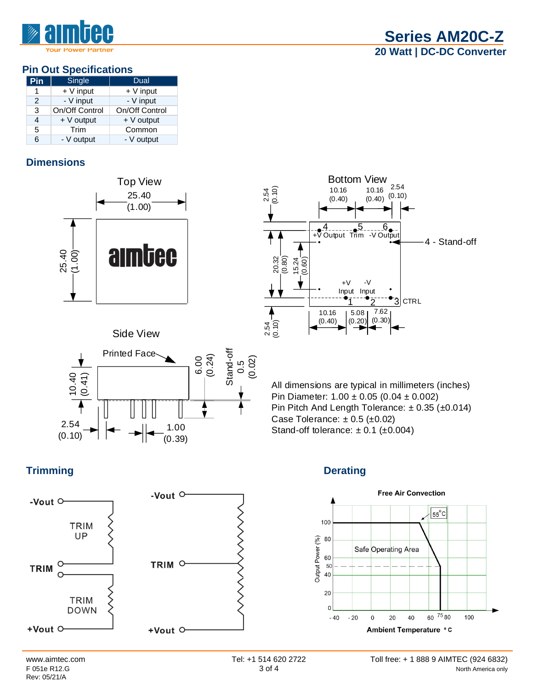## **Pin Out Specifications**

| Pin           | Single         | Dual           |
|---------------|----------------|----------------|
| 1             | $+V$ input     | $+V$ input     |
| $\mathcal{P}$ | - V input      | - V input      |
| 3             | On/Off Control | On/Off Control |
| 4             | $+V$ output    | $+V$ output    |
| 5             | Trim           | Common         |
| 6             | - V output     | - V output     |

## **Dimensions**



## Side View





All dimensions are typical in millimeters (inches) Pin Diameter: 1.00 ± 0.05 (0.04 ± 0.002) Pin Pitch And Length Tolerance: ± 0.35 (±0.014) Case Tolerance:  $\pm 0.5$  ( $\pm 0.02$ ) Stand-off tolerance:  $\pm$  0.1 ( $\pm$ 0.004)

# **Trimming Derating**